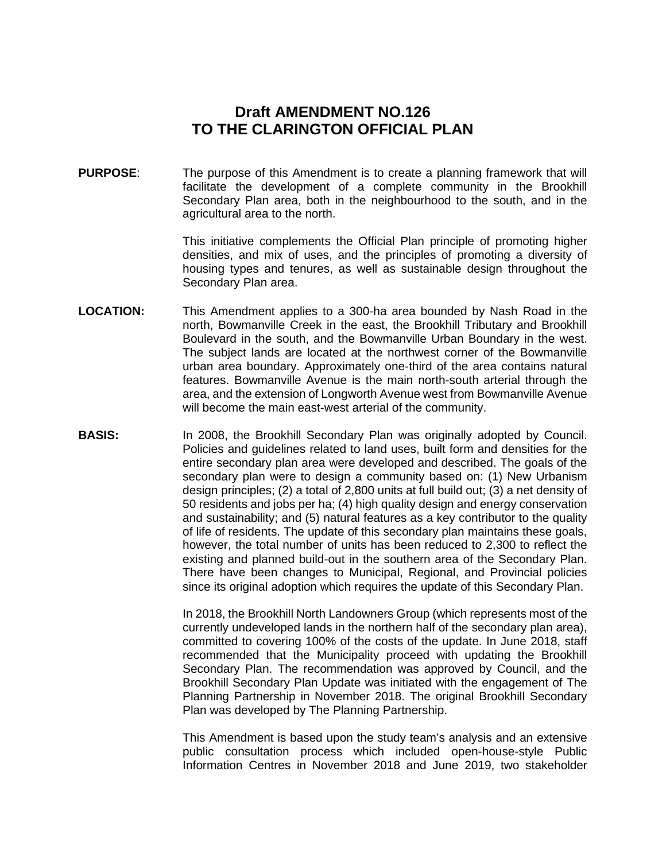## **Draft AMENDMENT NO.126 TO THE CLARINGTON OFFICIAL PLAN**

**PURPOSE:** The purpose of this Amendment is to create a planning framework that will facilitate the development of a complete community in the Brookhill Secondary Plan area, both in the neighbourhood to the south, and in the agricultural area to the north.

> This initiative complements the Official Plan principle of promoting higher densities, and mix of uses, and the principles of promoting a diversity of housing types and tenures, as well as sustainable design throughout the Secondary Plan area.

- **LOCATION:** This Amendment applies to a 300-ha area bounded by Nash Road in the north, Bowmanville Creek in the east, the Brookhill Tributary and Brookhill Boulevard in the south, and the Bowmanville Urban Boundary in the west. The subject lands are located at the northwest corner of the Bowmanville urban area boundary. Approximately one-third of the area contains natural features. Bowmanville Avenue is the main north-south arterial through the area, and the extension of Longworth Avenue west from Bowmanville Avenue will become the main east-west arterial of the community.
- **BASIS:** In 2008, the Brookhill Secondary Plan was originally adopted by Council. Policies and guidelines related to land uses, built form and densities for the entire secondary plan area were developed and described. The goals of the secondary plan were to design a community based on: (1) New Urbanism design principles; (2) a total of 2,800 units at full build out; (3) a net density of 50 residents and jobs per ha; (4) high quality design and energy conservation and sustainability; and (5) natural features as a key contributor to the quality of life of residents. The update of this secondary plan maintains these goals, however, the total number of units has been reduced to 2,300 to reflect the existing and planned build-out in the southern area of the Secondary Plan. There have been changes to Municipal, Regional, and Provincial policies since its original adoption which requires the update of this Secondary Plan.

In 2018, the Brookhill North Landowners Group (which represents most of the currently undeveloped lands in the northern half of the secondary plan area), committed to covering 100% of the costs of the update. In June 2018, staff recommended that the Municipality proceed with updating the Brookhill Secondary Plan. The recommendation was approved by Council, and the Brookhill Secondary Plan Update was initiated with the engagement of The Planning Partnership in November 2018. The original Brookhill Secondary Plan was developed by The Planning Partnership.

This Amendment is based upon the study team's analysis and an extensive public consultation process which included open-house-style Public Information Centres in November 2018 and June 2019, two stakeholder